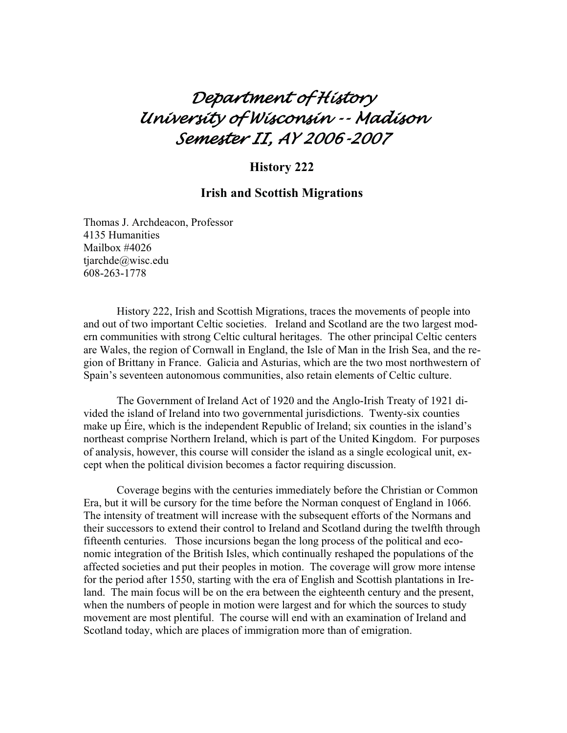# *Department of History University of Wisconsin -- Madison Semester II, AY 2006-2007*

# **History 222**

# **Irish and Scottish Migrations**

Thomas J. Archdeacon, Professor 4135 Humanities Mailbox #4026 tjarchde@wisc.edu 608-263-1778

 History 222, Irish and Scottish Migrations, traces the movements of people into and out of two important Celtic societies. Ireland and Scotland are the two largest modern communities with strong Celtic cultural heritages. The other principal Celtic centers are Wales, the region of Cornwall in England, the Isle of Man in the Irish Sea, and the region of Brittany in France. Galicia and Asturias, which are the two most northwestern of Spain's seventeen autonomous communities, also retain elements of Celtic culture.

 The Government of Ireland Act of 1920 and the Anglo-Irish Treaty of 1921 divided the island of Ireland into two governmental jurisdictions. Twenty-six counties make up Éire, which is the independent Republic of Ireland; six counties in the island's northeast comprise Northern Ireland, which is part of the United Kingdom. For purposes of analysis, however, this course will consider the island as a single ecological unit, except when the political division becomes a factor requiring discussion.

 Coverage begins with the centuries immediately before the Christian or Common Era, but it will be cursory for the time before the Norman conquest of England in 1066. The intensity of treatment will increase with the subsequent efforts of the Normans and their successors to extend their control to Ireland and Scotland during the twelfth through fifteenth centuries. Those incursions began the long process of the political and economic integration of the British Isles, which continually reshaped the populations of the affected societies and put their peoples in motion. The coverage will grow more intense for the period after 1550, starting with the era of English and Scottish plantations in Ireland. The main focus will be on the era between the eighteenth century and the present, when the numbers of people in motion were largest and for which the sources to study movement are most plentiful. The course will end with an examination of Ireland and Scotland today, which are places of immigration more than of emigration.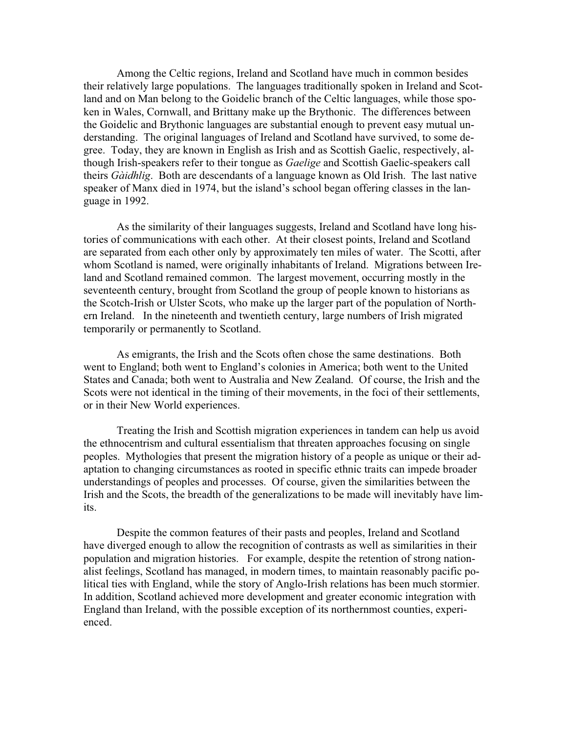Among the Celtic regions, Ireland and Scotland have much in common besides their relatively large populations. The languages traditionally spoken in Ireland and Scotland and on Man belong to the Goidelic branch of the Celtic languages, while those spoken in Wales, Cornwall, and Brittany make up the Brythonic. The differences between the Goidelic and Brythonic languages are substantial enough to prevent easy mutual understanding. The original languages of Ireland and Scotland have survived, to some degree. Today, they are known in English as Irish and as Scottish Gaelic, respectively, although Irish-speakers refer to their tongue as *Gaelige* and Scottish Gaelic-speakers call theirs *Gàidhlig*. Both are descendants of a language known as Old Irish. The last native speaker of Manx died in 1974, but the island's school began offering classes in the language in 1992.

 As the similarity of their languages suggests, Ireland and Scotland have long histories of communications with each other. At their closest points, Ireland and Scotland are separated from each other only by approximately ten miles of water. The Scotti, after whom Scotland is named, were originally inhabitants of Ireland. Migrations between Ireland and Scotland remained common. The largest movement, occurring mostly in the seventeenth century, brought from Scotland the group of people known to historians as the Scotch-Irish or Ulster Scots, who make up the larger part of the population of Northern Ireland. In the nineteenth and twentieth century, large numbers of Irish migrated temporarily or permanently to Scotland.

 As emigrants, the Irish and the Scots often chose the same destinations. Both went to England; both went to England's colonies in America; both went to the United States and Canada; both went to Australia and New Zealand. Of course, the Irish and the Scots were not identical in the timing of their movements, in the foci of their settlements, or in their New World experiences.

 Treating the Irish and Scottish migration experiences in tandem can help us avoid the ethnocentrism and cultural essentialism that threaten approaches focusing on single peoples. Mythologies that present the migration history of a people as unique or their adaptation to changing circumstances as rooted in specific ethnic traits can impede broader understandings of peoples and processes. Of course, given the similarities between the Irish and the Scots, the breadth of the generalizations to be made will inevitably have limits.

 Despite the common features of their pasts and peoples, Ireland and Scotland have diverged enough to allow the recognition of contrasts as well as similarities in their population and migration histories. For example, despite the retention of strong nationalist feelings, Scotland has managed, in modern times, to maintain reasonably pacific political ties with England, while the story of Anglo-Irish relations has been much stormier. In addition, Scotland achieved more development and greater economic integration with England than Ireland, with the possible exception of its northernmost counties, experienced.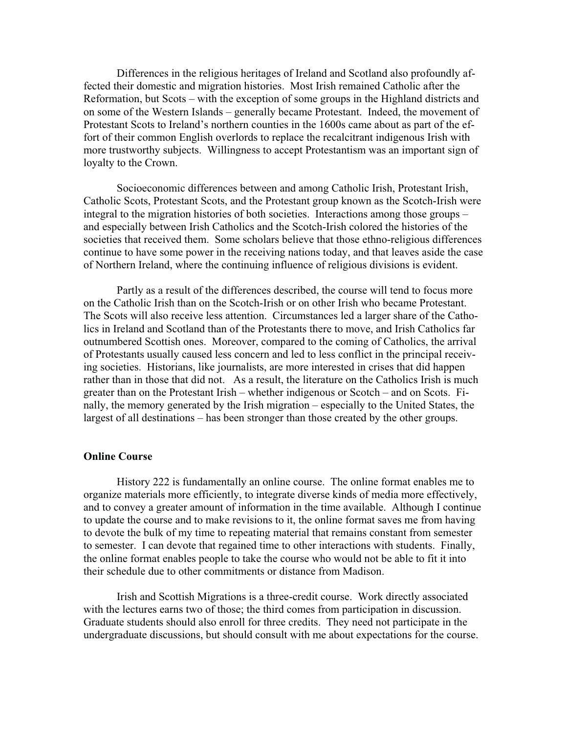Differences in the religious heritages of Ireland and Scotland also profoundly affected their domestic and migration histories. Most Irish remained Catholic after the Reformation, but Scots – with the exception of some groups in the Highland districts and on some of the Western Islands – generally became Protestant. Indeed, the movement of Protestant Scots to Ireland's northern counties in the 1600s came about as part of the effort of their common English overlords to replace the recalcitrant indigenous Irish with more trustworthy subjects. Willingness to accept Protestantism was an important sign of loyalty to the Crown.

 Socioeconomic differences between and among Catholic Irish, Protestant Irish, Catholic Scots, Protestant Scots, and the Protestant group known as the Scotch-Irish were integral to the migration histories of both societies. Interactions among those groups – and especially between Irish Catholics and the Scotch-Irish colored the histories of the societies that received them. Some scholars believe that those ethno-religious differences continue to have some power in the receiving nations today, and that leaves aside the case of Northern Ireland, where the continuing influence of religious divisions is evident.

 Partly as a result of the differences described, the course will tend to focus more on the Catholic Irish than on the Scotch-Irish or on other Irish who became Protestant. The Scots will also receive less attention. Circumstances led a larger share of the Catholics in Ireland and Scotland than of the Protestants there to move, and Irish Catholics far outnumbered Scottish ones. Moreover, compared to the coming of Catholics, the arrival of Protestants usually caused less concern and led to less conflict in the principal receiving societies. Historians, like journalists, are more interested in crises that did happen rather than in those that did not. As a result, the literature on the Catholics Irish is much greater than on the Protestant Irish – whether indigenous or Scotch – and on Scots. Finally, the memory generated by the Irish migration – especially to the United States, the largest of all destinations – has been stronger than those created by the other groups.

### **Online Course**

 History 222 is fundamentally an online course. The online format enables me to organize materials more efficiently, to integrate diverse kinds of media more effectively, and to convey a greater amount of information in the time available. Although I continue to update the course and to make revisions to it, the online format saves me from having to devote the bulk of my time to repeating material that remains constant from semester to semester. I can devote that regained time to other interactions with students. Finally, the online format enables people to take the course who would not be able to fit it into their schedule due to other commitments or distance from Madison.

 Irish and Scottish Migrations is a three-credit course. Work directly associated with the lectures earns two of those; the third comes from participation in discussion. Graduate students should also enroll for three credits. They need not participate in the undergraduate discussions, but should consult with me about expectations for the course.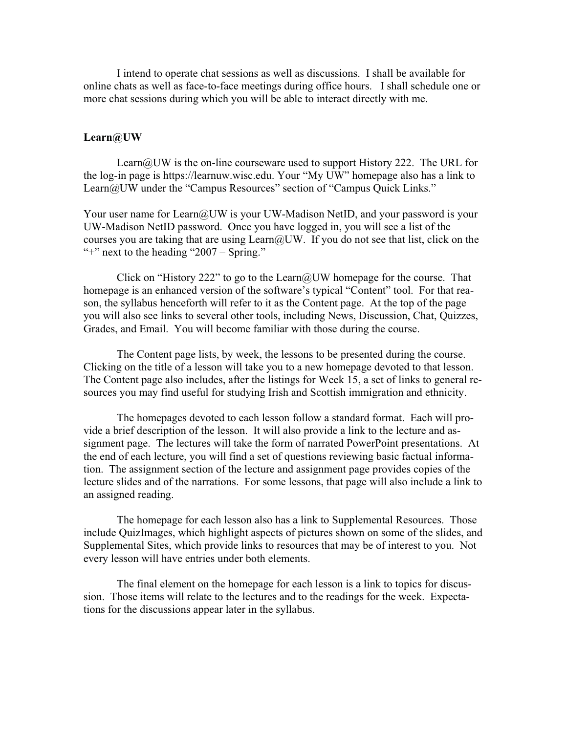I intend to operate chat sessions as well as discussions. I shall be available for online chats as well as face-to-face meetings during office hours. I shall schedule one or more chat sessions during which you will be able to interact directly with me.

### **Learn@UW**

Learn@UW is the on-line courseware used to support History 222. The URL for the log-in page is https://learnuw.wisc.edu. Your "My UW" homepage also has a link to Learn@UW under the "Campus Resources" section of "Campus Quick Links."

Your user name for Learn@UW is your UW-Madison NetID, and your password is your UW-Madison NetID password. Once you have logged in, you will see a list of the courses you are taking that are using Learn@UW. If you do not see that list, click on the "<sup>+</sup>" next to the heading "2007 – Spring."

Click on "History 222" to go to the Learn@UW homepage for the course. That homepage is an enhanced version of the software's typical "Content" tool. For that reason, the syllabus henceforth will refer to it as the Content page. At the top of the page you will also see links to several other tools, including News, Discussion, Chat, Quizzes, Grades, and Email. You will become familiar with those during the course.

 The Content page lists, by week, the lessons to be presented during the course. Clicking on the title of a lesson will take you to a new homepage devoted to that lesson. The Content page also includes, after the listings for Week 15, a set of links to general resources you may find useful for studying Irish and Scottish immigration and ethnicity.

 The homepages devoted to each lesson follow a standard format. Each will provide a brief description of the lesson. It will also provide a link to the lecture and assignment page. The lectures will take the form of narrated PowerPoint presentations. At the end of each lecture, you will find a set of questions reviewing basic factual information. The assignment section of the lecture and assignment page provides copies of the lecture slides and of the narrations. For some lessons, that page will also include a link to an assigned reading.

 The homepage for each lesson also has a link to Supplemental Resources. Those include QuizImages, which highlight aspects of pictures shown on some of the slides, and Supplemental Sites, which provide links to resources that may be of interest to you. Not every lesson will have entries under both elements.

 The final element on the homepage for each lesson is a link to topics for discussion. Those items will relate to the lectures and to the readings for the week. Expectations for the discussions appear later in the syllabus.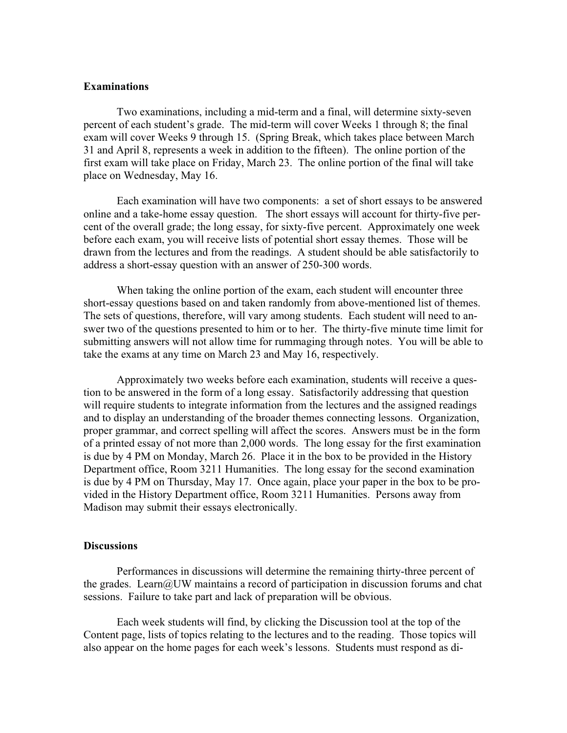# **Examinations**

 Two examinations, including a mid-term and a final, will determine sixty-seven percent of each student's grade. The mid-term will cover Weeks 1 through 8; the final exam will cover Weeks 9 through 15. (Spring Break, which takes place between March 31 and April 8, represents a week in addition to the fifteen). The online portion of the first exam will take place on Friday, March 23. The online portion of the final will take place on Wednesday, May 16.

 Each examination will have two components: a set of short essays to be answered online and a take-home essay question. The short essays will account for thirty-five percent of the overall grade; the long essay, for sixty-five percent. Approximately one week before each exam, you will receive lists of potential short essay themes. Those will be drawn from the lectures and from the readings. A student should be able satisfactorily to address a short-essay question with an answer of 250-300 words.

 When taking the online portion of the exam, each student will encounter three short-essay questions based on and taken randomly from above-mentioned list of themes. The sets of questions, therefore, will vary among students. Each student will need to answer two of the questions presented to him or to her. The thirty-five minute time limit for submitting answers will not allow time for rummaging through notes. You will be able to take the exams at any time on March 23 and May 16, respectively.

 Approximately two weeks before each examination, students will receive a question to be answered in the form of a long essay. Satisfactorily addressing that question will require students to integrate information from the lectures and the assigned readings and to display an understanding of the broader themes connecting lessons. Organization, proper grammar, and correct spelling will affect the scores. Answers must be in the form of a printed essay of not more than 2,000 words. The long essay for the first examination is due by 4 PM on Monday, March 26. Place it in the box to be provided in the History Department office, Room 3211 Humanities. The long essay for the second examination is due by 4 PM on Thursday, May 17. Once again, place your paper in the box to be provided in the History Department office, Room 3211 Humanities. Persons away from Madison may submit their essays electronically.

#### **Discussions**

 Performances in discussions will determine the remaining thirty-three percent of the grades. Learn@UW maintains a record of participation in discussion forums and chat sessions. Failure to take part and lack of preparation will be obvious.

 Each week students will find, by clicking the Discussion tool at the top of the Content page, lists of topics relating to the lectures and to the reading. Those topics will also appear on the home pages for each week's lessons. Students must respond as di-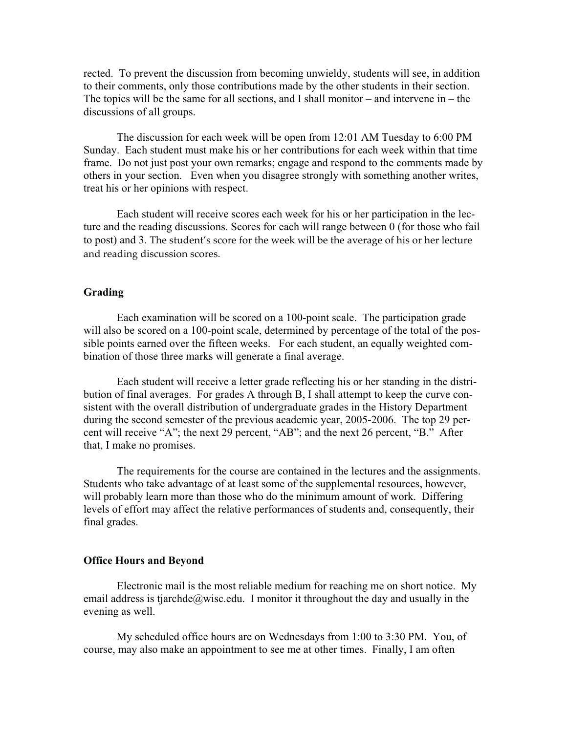rected. To prevent the discussion from becoming unwieldy, students will see, in addition to their comments, only those contributions made by the other students in their section. The topics will be the same for all sections, and I shall monitor – and intervene in – the discussions of all groups.

 The discussion for each week will be open from 12:01 AM Tuesday to 6:00 PM Sunday. Each student must make his or her contributions for each week within that time frame. Do not just post your own remarks; engage and respond to the comments made by others in your section. Even when you disagree strongly with something another writes, treat his or her opinions with respect.

 Each student will receive scores each week for his or her participation in the lecture and the reading discussions. Scores for each will range between 0 (for those who fail to post) and 3. The student's score for the week will be the average of his or her lecture and reading discussion scores.

# **Grading**

 Each examination will be scored on a 100-point scale. The participation grade will also be scored on a 100-point scale, determined by percentage of the total of the possible points earned over the fifteen weeks. For each student, an equally weighted combination of those three marks will generate a final average.

 Each student will receive a letter grade reflecting his or her standing in the distribution of final averages. For grades A through B, I shall attempt to keep the curve consistent with the overall distribution of undergraduate grades in the History Department during the second semester of the previous academic year, 2005-2006. The top 29 percent will receive "A"; the next 29 percent, "AB"; and the next 26 percent, "B." After that, I make no promises.

 The requirements for the course are contained in the lectures and the assignments. Students who take advantage of at least some of the supplemental resources, however, will probably learn more than those who do the minimum amount of work. Differing levels of effort may affect the relative performances of students and, consequently, their final grades.

### **Office Hours and Beyond**

Electronic mail is the most reliable medium for reaching me on short notice. My email address is tjarchde@wisc.edu. I monitor it throughout the day and usually in the evening as well.

 My scheduled office hours are on Wednesdays from 1:00 to 3:30 PM. You, of course, may also make an appointment to see me at other times. Finally, I am often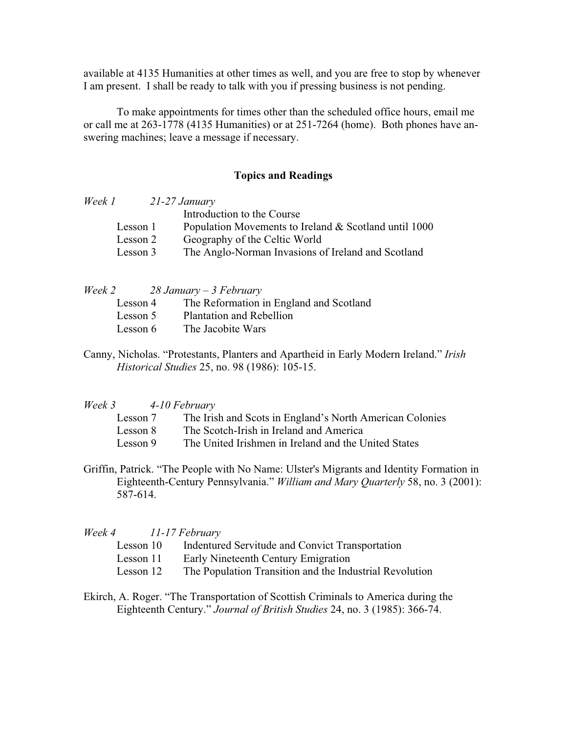available at 4135 Humanities at other times as well, and you are free to stop by whenever I am present. I shall be ready to talk with you if pressing business is not pending.

 To make appointments for times other than the scheduled office hours, email me or call me at 263-1778 (4135 Humanities) or at 251-7264 (home). Both phones have answering machines; leave a message if necessary.

# **Topics and Readings**

| Week 1 |          | $21-27$ January                                       |
|--------|----------|-------------------------------------------------------|
|        |          | Introduction to the Course                            |
|        | Lesson 1 | Population Movements to Ireland & Scotland until 1000 |
|        | Lesson 2 | Geography of the Celtic World                         |
|        | Lesson 3 | The Anglo-Norman Invasions of Ireland and Scotland    |
|        |          |                                                       |

*Week 2 28 January – 3 February* 

| Lesson 4 | The Reformation in England and Scotland |
|----------|-----------------------------------------|
|----------|-----------------------------------------|

- Lesson 5 Plantation and Rebellion
- Lesson 6 The Jacobite Wars
- Canny, Nicholas. "Protestants, Planters and Apartheid in Early Modern Ireland." *Irish Historical Studies* 25, no. 98 (1986): 105-15.

#### *Week 3 4-10 February*

- Lesson 7 The Irish and Scots in England's North American Colonies
- Lesson 8 The Scotch-Irish in Ireland and America
- Lesson 9 The United Irishmen in Ireland and the United States
- Griffin, Patrick. "The People with No Name: Ulster's Migrants and Identity Formation in Eighteenth-Century Pennsylvania." *William and Mary Quarterly* 58, no. 3 (2001): 587-614.

#### *Week 4 11-17 February*

- Lesson 10 Indentured Servitude and Convict Transportation
- Lesson 11 Early Nineteenth Century Emigration
- Lesson 12 The Population Transition and the Industrial Revolution
- Ekirch, A. Roger. "The Transportation of Scottish Criminals to America during the Eighteenth Century." *Journal of British Studies* 24, no. 3 (1985): 366-74.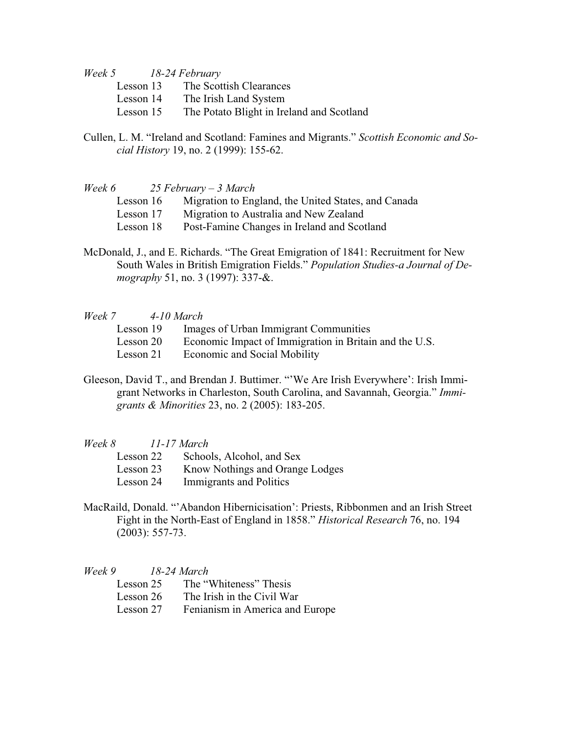*Week 5 18-24 February* 

- Lesson 13 The Scottish Clearances
- Lesson 14 The Irish Land System
- Lesson 15 The Potato Blight in Ireland and Scotland
- Cullen, L. M. "Ireland and Scotland: Famines and Migrants." *Scottish Economic and Social History* 19, no. 2 (1999): 155-62.

| Week 6    | $25$ February – 3 March                             |
|-----------|-----------------------------------------------------|
| Lesson 16 | Migration to England, the United States, and Canada |
| Lesson 17 | Migration to Australia and New Zealand              |
| Lesson 18 | Post-Famine Changes in Ireland and Scotland         |
|           |                                                     |

McDonald, J., and E. Richards. "The Great Emigration of 1841: Recruitment for New South Wales in British Emigration Fields." *Population Studies-a Journal of Demography* 51, no. 3 (1997): 337-&.

#### *Week 7 4-10 March*

- Lesson 19 Images of Urban Immigrant Communities
- Lesson 20 Economic Impact of Immigration in Britain and the U.S.
- Lesson 21 Economic and Social Mobility
- Gleeson, David T., and Brendan J. Buttimer. "'We Are Irish Everywhere': Irish Immigrant Networks in Charleston, South Carolina, and Savannah, Georgia." *Immigrants & Minorities* 23, no. 2 (2005): 183-205.

# *Week 8 11-17 March*

| Lesson 22 | Schools, Alcohol, and Sex       |
|-----------|---------------------------------|
| Lesson 23 | Know Nothings and Orange Lodges |
| Lesson 24 | Immigrants and Politics         |

MacRaild, Donald. "'Abandon Hibernicisation': Priests, Ribbonmen and an Irish Street Fight in the North-East of England in 1858." *Historical Research* 76, no. 194 (2003): 557-73.

*Week 9 18-24 March* 

| Lesson 25 | The "Whiteness" Thesis |  |
|-----------|------------------------|--|
|-----------|------------------------|--|

- Lesson 26 The Irish in the Civil War
- Lesson 27 Fenianism in America and Europe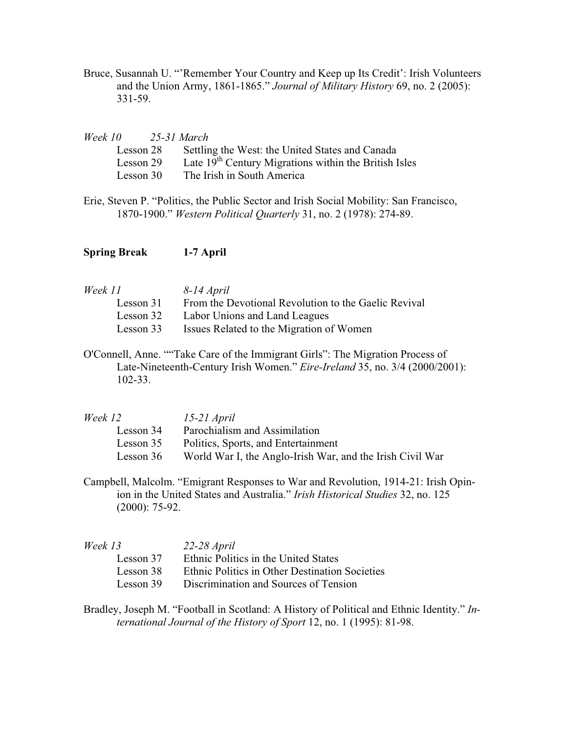Bruce, Susannah U. "'Remember Your Country and Keep up Its Credit': Irish Volunteers and the Union Army, 1861-1865." *Journal of Military History* 69, no. 2 (2005): 331-59.

| Week 10   | 25-31 March |                                                         |
|-----------|-------------|---------------------------------------------------------|
| Lesson 28 |             | Settling the West: the United States and Canada         |
| Lesson 29 |             | Late $19th$ Century Migrations within the British Isles |
| Lesson 30 |             | The Irish in South America                              |
|           |             |                                                         |

Erie, Steven P. "Politics, the Public Sector and Irish Social Mobility: San Francisco, 1870-1900." *Western Political Quarterly* 31, no. 2 (1978): 274-89.

**Spring Break 1-7 April**

| 8-14 April                                           |
|------------------------------------------------------|
| From the Devotional Revolution to the Gaelic Revival |
| Labor Unions and Land Leagues                        |
| Issues Related to the Migration of Women             |
|                                                      |

O'Connell, Anne. ""Take Care of the Immigrant Girls": The Migration Process of Late-Nineteenth-Century Irish Women." *Eire-Ireland* 35, no. 3/4 (2000/2001): 102-33.

| Week 12   | $15-21$ April                                             |
|-----------|-----------------------------------------------------------|
| Lesson 34 | Parochialism and Assimilation                             |
| Lesson 35 | Politics, Sports, and Entertainment                       |
| Lesson 36 | World War I, the Anglo-Irish War, and the Irish Civil War |

Campbell, Malcolm. "Emigrant Responses to War and Revolution, 1914-21: Irish Opinion in the United States and Australia." *Irish Historical Studies* 32, no. 125 (2000): 75-92.

| Week 13   | $22-28$ April                                  |
|-----------|------------------------------------------------|
| Lesson 37 | Ethnic Politics in the United States           |
| Lesson 38 | Ethnic Politics in Other Destination Societies |
| Lesson 39 | Discrimination and Sources of Tension          |

Bradley, Joseph M. "Football in Scotland: A History of Political and Ethnic Identity." *International Journal of the History of Sport* 12, no. 1 (1995): 81-98.